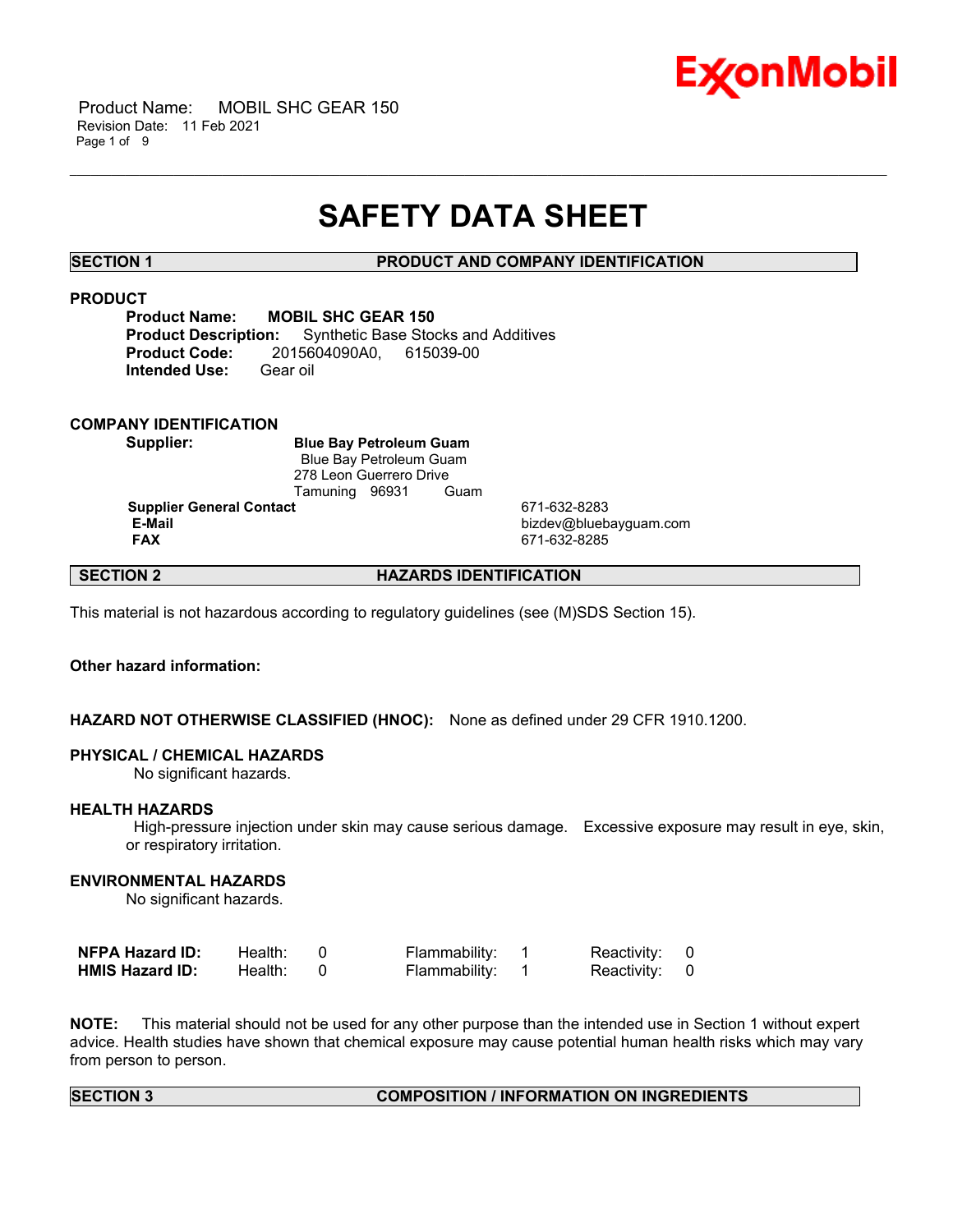

 Product Name: MOBIL SHC GEAR 150 Revision Date: 11 Feb 2021 Page 1 of 9

# **SAFETY DATA SHEET**

\_\_\_\_\_\_\_\_\_\_\_\_\_\_\_\_\_\_\_\_\_\_\_\_\_\_\_\_\_\_\_\_\_\_\_\_\_\_\_\_\_\_\_\_\_\_\_\_\_\_\_\_\_\_\_\_\_\_\_\_\_\_\_\_\_\_\_\_\_\_\_\_\_\_\_\_\_\_\_\_\_\_\_\_\_\_\_\_\_\_\_\_\_\_\_\_\_\_\_\_\_\_\_\_\_\_\_\_\_\_\_\_\_\_\_\_\_\_

# **SECTION 1 PRODUCT AND COMPANY IDENTIFICATION**

# **PRODUCT**

**Product Name: MOBIL SHC GEAR 150 Product Description:** Synthetic Base Stocks and Additives **Product Code:** 2015604090A0, 615039-00 **Intended Use:** Gear oil

# **COMPANY IDENTIFICATION**

**Supplier: Blue Bay Petroleum Guam** Blue Bay Petroleum Guam 278 Leon Guerrero Drive Tamuning 96931 Guam

**Supplier General Contact** 671-632-8283<br> **E-Mail** bizdev@blueb

 **E-Mail** bizdev@bluebayguam.com  **FAX** 671-632-8285

# **SECTION 2 HAZARDS IDENTIFICATION**

This material is not hazardous according to regulatory guidelines (see (M)SDS Section 15).

# **Other hazard information:**

# **HAZARD NOT OTHERWISE CLASSIFIED (HNOC):** None as defined under 29 CFR 1910.1200.

### **PHYSICAL / CHEMICAL HAZARDS**

No significant hazards.

### **HEALTH HAZARDS**

 High-pressure injection under skin may cause serious damage. Excessive exposure may result in eye, skin, or respiratory irritation.

# **ENVIRONMENTAL HAZARDS**

No significant hazards.

| <b>NFPA Hazard ID:</b> | Health: | Flammability: | Reactivity: 0 |  |
|------------------------|---------|---------------|---------------|--|
| <b>HMIS Hazard ID:</b> | Health: | Flammability: | Reactivity: 0 |  |

**NOTE:** This material should not be used for any other purpose than the intended use in Section 1 without expert advice. Health studies have shown that chemical exposure may cause potential human health risks which may vary from person to person.

# **SECTION 3 COMPOSITION / INFORMATION ON INGREDIENTS**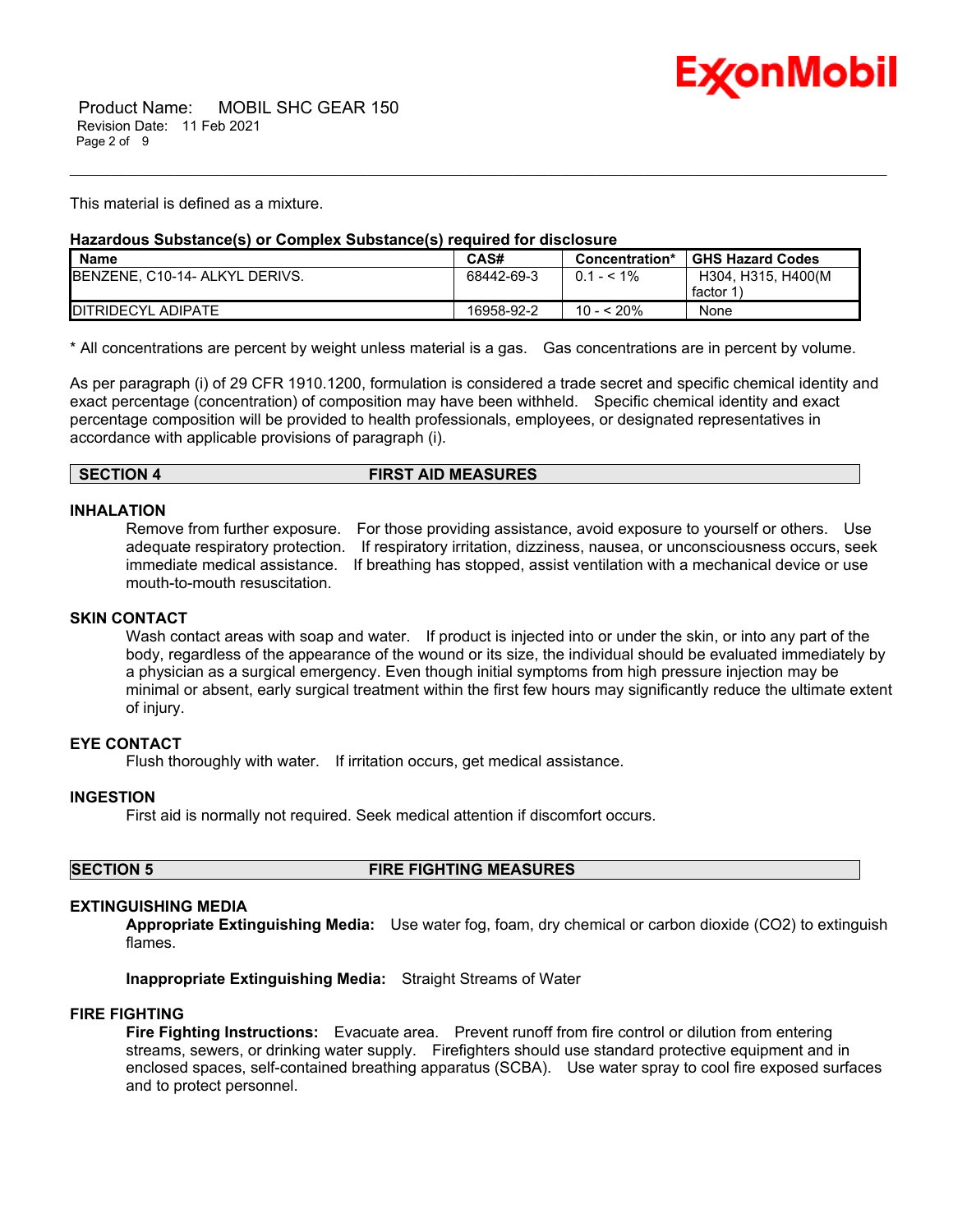

This material is defined as a mixture.

# **Hazardous Substance(s) or Complex Substance(s) required for disclosure**

| <b>Name</b>                            | CAS#       | Concentration* | <b>GHS Hazard Codes</b> |
|----------------------------------------|------------|----------------|-------------------------|
| <b>IBENZENE, C10-14- ALKYL DERIVS.</b> | 68442-69-3 | $0.1 - 5.1\%$  | H304, H315, H400(M)     |
|                                        |            |                | factor 1                |
| <b>IDITRIDECYL ADIPATE</b>             | 16958-92-2 | 10 - < 20%     | None                    |

\_\_\_\_\_\_\_\_\_\_\_\_\_\_\_\_\_\_\_\_\_\_\_\_\_\_\_\_\_\_\_\_\_\_\_\_\_\_\_\_\_\_\_\_\_\_\_\_\_\_\_\_\_\_\_\_\_\_\_\_\_\_\_\_\_\_\_\_\_\_\_\_\_\_\_\_\_\_\_\_\_\_\_\_\_\_\_\_\_\_\_\_\_\_\_\_\_\_\_\_\_\_\_\_\_\_\_\_\_\_\_\_\_\_\_\_\_\_

\* All concentrations are percent by weight unless material is a gas. Gas concentrations are in percent by volume.

As per paragraph (i) of 29 CFR 1910.1200, formulation is considered a trade secret and specific chemical identity and exact percentage (concentration) of composition may have been withheld. Specific chemical identity and exact percentage composition will be provided to health professionals, employees, or designated representatives in accordance with applicable provisions of paragraph (i).

### **SECTION 4 FIRST AID MEASURES**

### **INHALATION**

Remove from further exposure. For those providing assistance, avoid exposure to yourself or others. Use adequate respiratory protection. If respiratory irritation, dizziness, nausea, or unconsciousness occurs, seek immediate medical assistance. If breathing has stopped, assist ventilation with a mechanical device or use mouth-to-mouth resuscitation.

### **SKIN CONTACT**

Wash contact areas with soap and water. If product is injected into or under the skin, or into any part of the body, regardless of the appearance of the wound or its size, the individual should be evaluated immediately by a physician as a surgical emergency. Even though initial symptoms from high pressure injection may be minimal or absent, early surgical treatment within the first few hours may significantly reduce the ultimate extent of injury.

# **EYE CONTACT**

Flush thoroughly with water. If irritation occurs, get medical assistance.

# **INGESTION**

First aid is normally not required. Seek medical attention if discomfort occurs.

**SECTION 5 FIRE FIGHTING MEASURES**

# **EXTINGUISHING MEDIA**

**Appropriate Extinguishing Media:** Use water fog, foam, dry chemical or carbon dioxide (CO2) to extinguish flames.

**Inappropriate Extinguishing Media:** Straight Streams of Water

### **FIRE FIGHTING**

**Fire Fighting Instructions:** Evacuate area. Prevent runoff from fire control or dilution from entering streams, sewers, or drinking water supply. Firefighters should use standard protective equipment and in enclosed spaces, self-contained breathing apparatus (SCBA). Use water spray to cool fire exposed surfaces and to protect personnel.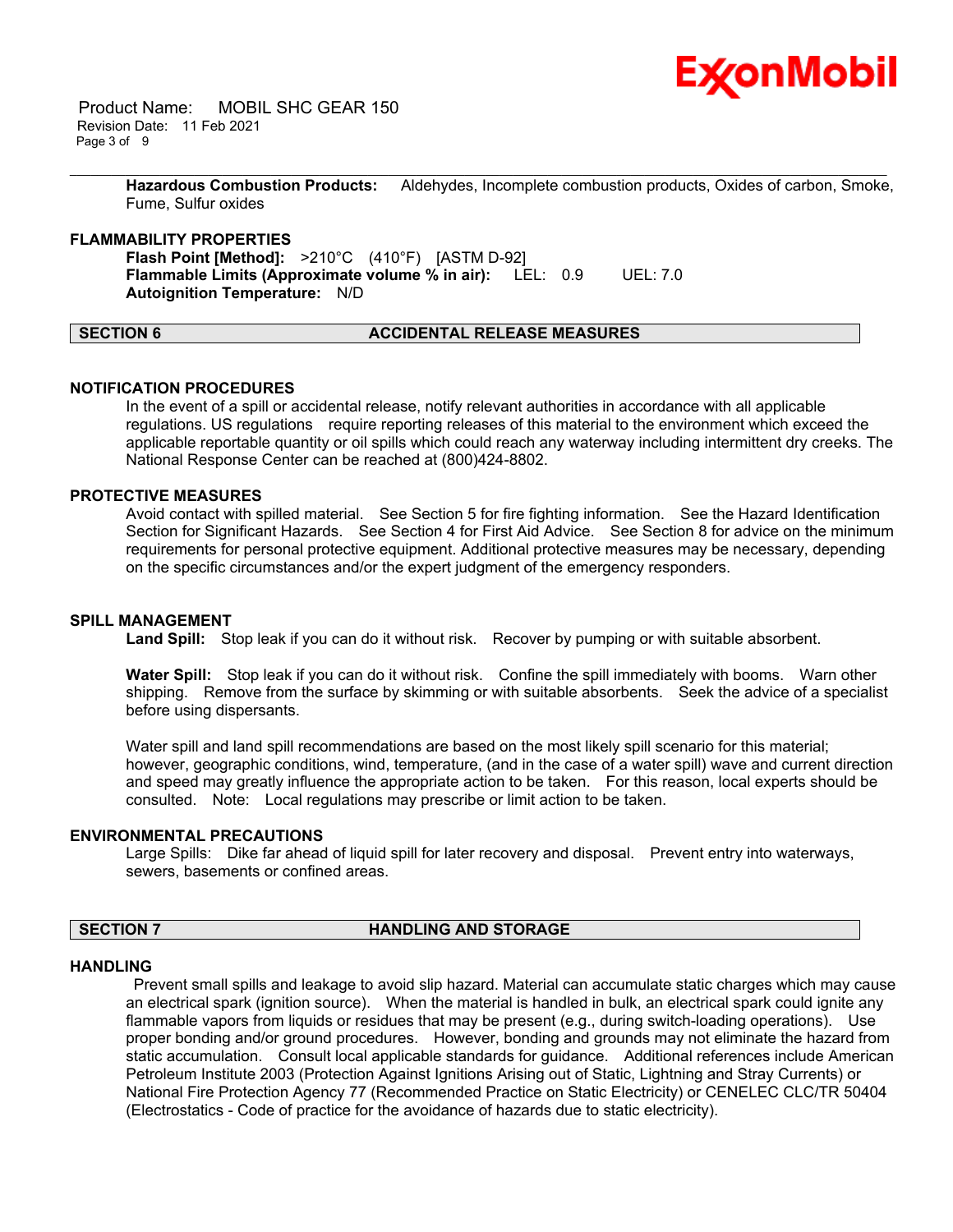

 Product Name: MOBIL SHC GEAR 150 Revision Date: 11 Feb 2021 Page 3 of 9

> **Hazardous Combustion Products:** Aldehydes, Incomplete combustion products, Oxides of carbon, Smoke, Fume, Sulfur oxides

\_\_\_\_\_\_\_\_\_\_\_\_\_\_\_\_\_\_\_\_\_\_\_\_\_\_\_\_\_\_\_\_\_\_\_\_\_\_\_\_\_\_\_\_\_\_\_\_\_\_\_\_\_\_\_\_\_\_\_\_\_\_\_\_\_\_\_\_\_\_\_\_\_\_\_\_\_\_\_\_\_\_\_\_\_\_\_\_\_\_\_\_\_\_\_\_\_\_\_\_\_\_\_\_\_\_\_\_\_\_\_\_\_\_\_\_\_\_

### **FLAMMABILITY PROPERTIES**

**Flash Point [Method]:** >210°C (410°F) [ASTM D-92] **Flammable Limits (Approximate volume % in air):** LEL: 0.9 UEL: 7.0 **Autoignition Temperature:** N/D

# **SECTION 6 ACCIDENTAL RELEASE MEASURES**

### **NOTIFICATION PROCEDURES**

In the event of a spill or accidental release, notify relevant authorities in accordance with all applicable regulations. US regulations require reporting releases of this material to the environment which exceed the applicable reportable quantity or oil spills which could reach any waterway including intermittent dry creeks. The National Response Center can be reached at (800)424-8802.

# **PROTECTIVE MEASURES**

Avoid contact with spilled material. See Section 5 for fire fighting information. See the Hazard Identification Section for Significant Hazards. See Section 4 for First Aid Advice. See Section 8 for advice on the minimum requirements for personal protective equipment. Additional protective measures may be necessary, depending on the specific circumstances and/or the expert judgment of the emergency responders.

### **SPILL MANAGEMENT**

Land Spill: Stop leak if you can do it without risk. Recover by pumping or with suitable absorbent.

**Water Spill:** Stop leak if you can do it without risk. Confine the spill immediately with booms. Warn other shipping. Remove from the surface by skimming or with suitable absorbents. Seek the advice of a specialist before using dispersants.

Water spill and land spill recommendations are based on the most likely spill scenario for this material; however, geographic conditions, wind, temperature, (and in the case of a water spill) wave and current direction and speed may greatly influence the appropriate action to be taken. For this reason, local experts should be consulted. Note: Local regulations may prescribe or limit action to be taken.

#### **ENVIRONMENTAL PRECAUTIONS**

Large Spills: Dike far ahead of liquid spill for later recovery and disposal. Prevent entry into waterways, sewers, basements or confined areas.

### **SECTION 7 HANDLING AND STORAGE**

#### **HANDLING**

 Prevent small spills and leakage to avoid slip hazard. Material can accumulate static charges which may cause an electrical spark (ignition source). When the material is handled in bulk, an electrical spark could ignite any flammable vapors from liquids or residues that may be present (e.g., during switch-loading operations). Use proper bonding and/or ground procedures. However, bonding and grounds may not eliminate the hazard from static accumulation. Consult local applicable standards for guidance. Additional references include American Petroleum Institute 2003 (Protection Against Ignitions Arising out of Static, Lightning and Stray Currents) or National Fire Protection Agency 77 (Recommended Practice on Static Electricity) or CENELEC CLC/TR 50404 (Electrostatics - Code of practice for the avoidance of hazards due to static electricity).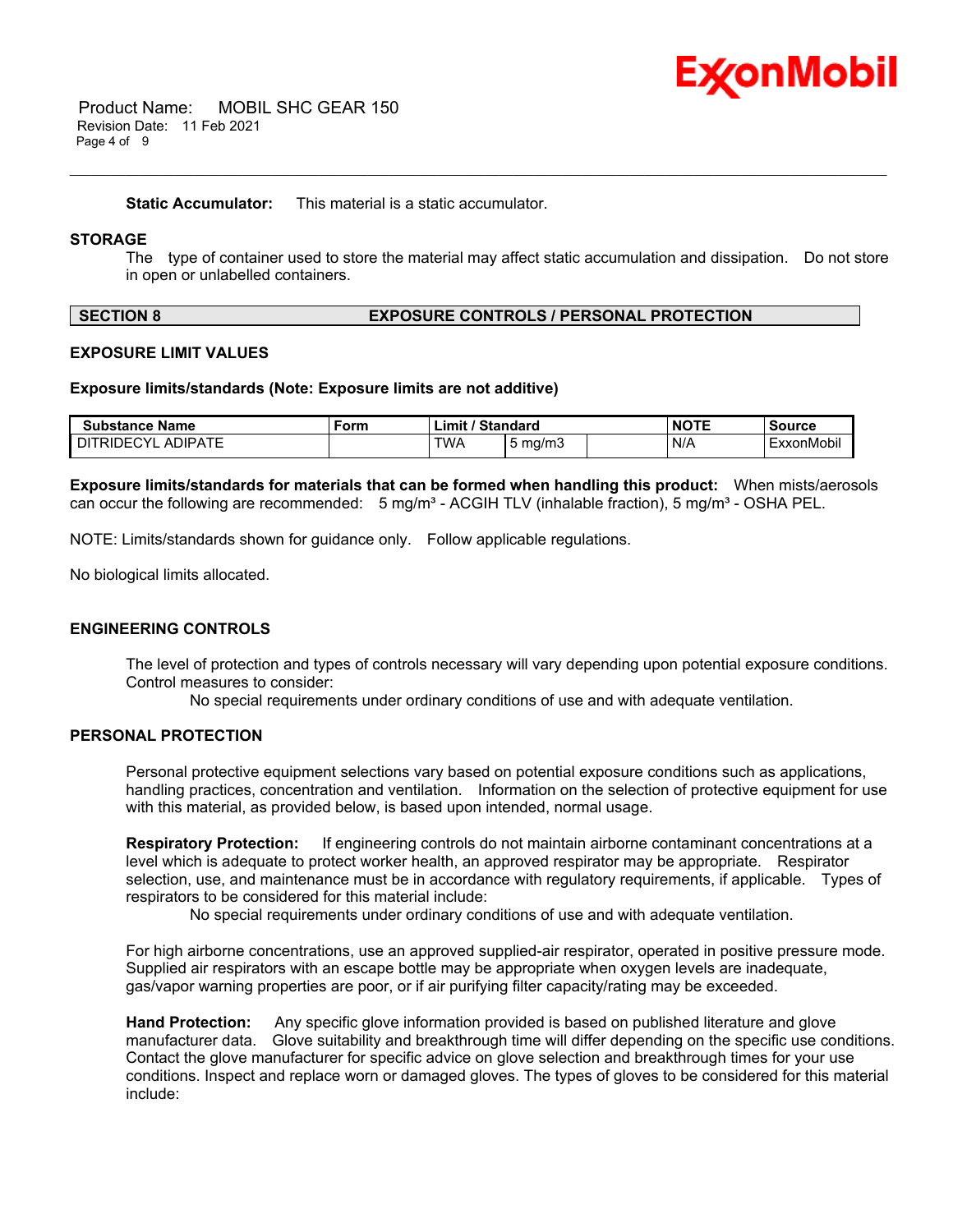

 Product Name: MOBIL SHC GEAR 150 Revision Date: 11 Feb 2021 Page 4 of 9

**Static Accumulator:** This material is a static accumulator.

# **STORAGE**

The type of container used to store the material may affect static accumulation and dissipation. Do not store in open or unlabelled containers.

\_\_\_\_\_\_\_\_\_\_\_\_\_\_\_\_\_\_\_\_\_\_\_\_\_\_\_\_\_\_\_\_\_\_\_\_\_\_\_\_\_\_\_\_\_\_\_\_\_\_\_\_\_\_\_\_\_\_\_\_\_\_\_\_\_\_\_\_\_\_\_\_\_\_\_\_\_\_\_\_\_\_\_\_\_\_\_\_\_\_\_\_\_\_\_\_\_\_\_\_\_\_\_\_\_\_\_\_\_\_\_\_\_\_\_\_\_\_

### **SECTION 8 EXPOSURE CONTROLS / PERSONAL PROTECTION**

### **EXPOSURE LIMIT VALUES**

#### **Exposure limits/standards (Note: Exposure limits are not additive)**

| <b>Substance Name</b>               | Form | / Standard<br>$\mathsf{Limit}'$ |                  | <b>NOTE</b> | <b>Source</b> |
|-------------------------------------|------|---------------------------------|------------------|-------------|---------------|
| <b>ADIPATE</b><br><b>DITRIDECYL</b> |      | <b>TWA</b>                      | $5 \text{ ma/m}$ | N/A         | ExxonMobil    |

**Exposure limits/standards for materials that can be formed when handling this product:** When mists/aerosols can occur the following are recommended:  $5 \text{ mg/m}^3$  - ACGIH TLV (inhalable fraction),  $5 \text{ mg/m}^3$  - OSHA PEL.

NOTE: Limits/standards shown for guidance only. Follow applicable regulations.

No biological limits allocated.

### **ENGINEERING CONTROLS**

The level of protection and types of controls necessary will vary depending upon potential exposure conditions. Control measures to consider:

No special requirements under ordinary conditions of use and with adequate ventilation.

# **PERSONAL PROTECTION**

Personal protective equipment selections vary based on potential exposure conditions such as applications, handling practices, concentration and ventilation. Information on the selection of protective equipment for use with this material, as provided below, is based upon intended, normal usage.

**Respiratory Protection:** If engineering controls do not maintain airborne contaminant concentrations at a level which is adequate to protect worker health, an approved respirator may be appropriate. Respirator selection, use, and maintenance must be in accordance with regulatory requirements, if applicable. Types of respirators to be considered for this material include:

No special requirements under ordinary conditions of use and with adequate ventilation.

For high airborne concentrations, use an approved supplied-air respirator, operated in positive pressure mode. Supplied air respirators with an escape bottle may be appropriate when oxygen levels are inadequate, gas/vapor warning properties are poor, or if air purifying filter capacity/rating may be exceeded.

**Hand Protection:** Any specific glove information provided is based on published literature and glove manufacturer data. Glove suitability and breakthrough time will differ depending on the specific use conditions. Contact the glove manufacturer for specific advice on glove selection and breakthrough times for your use conditions. Inspect and replace worn or damaged gloves. The types of gloves to be considered for this material include: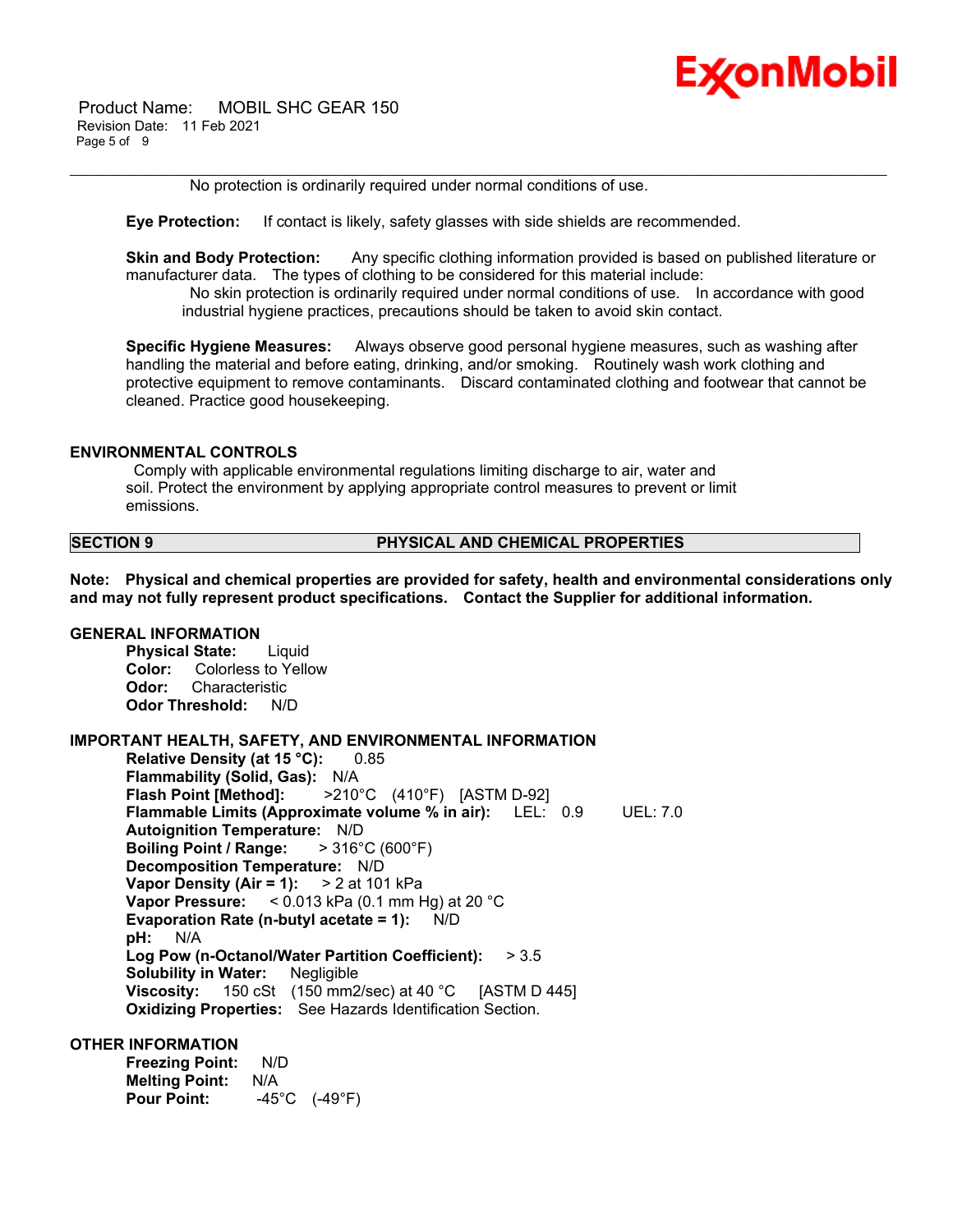

 Product Name: MOBIL SHC GEAR 150 Revision Date: 11 Feb 2021 Page 5 of 9

No protection is ordinarily required under normal conditions of use.

**Eye Protection:** If contact is likely, safety glasses with side shields are recommended.

**Skin and Body Protection:** Any specific clothing information provided is based on published literature or manufacturer data. The types of clothing to be considered for this material include:

\_\_\_\_\_\_\_\_\_\_\_\_\_\_\_\_\_\_\_\_\_\_\_\_\_\_\_\_\_\_\_\_\_\_\_\_\_\_\_\_\_\_\_\_\_\_\_\_\_\_\_\_\_\_\_\_\_\_\_\_\_\_\_\_\_\_\_\_\_\_\_\_\_\_\_\_\_\_\_\_\_\_\_\_\_\_\_\_\_\_\_\_\_\_\_\_\_\_\_\_\_\_\_\_\_\_\_\_\_\_\_\_\_\_\_\_\_\_

 No skin protection is ordinarily required under normal conditions of use. In accordance with good industrial hygiene practices, precautions should be taken to avoid skin contact.

**Specific Hygiene Measures:** Always observe good personal hygiene measures, such as washing after handling the material and before eating, drinking, and/or smoking. Routinely wash work clothing and protective equipment to remove contaminants. Discard contaminated clothing and footwear that cannot be cleaned. Practice good housekeeping.

### **ENVIRONMENTAL CONTROLS**

 Comply with applicable environmental regulations limiting discharge to air, water and soil. Protect the environment by applying appropriate control measures to prevent or limit emissions.

### **SECTION 9 PHYSICAL AND CHEMICAL PROPERTIES**

**Note: Physical and chemical properties are provided for safety, health and environmental considerations only and may not fully represent product specifications. Contact the Supplier for additional information.**

# **GENERAL INFORMATION**

**Physical State:** Liquid **Color:** Colorless to Yellow **Odor:** Characteristic **Odor Threshold:** N/D

### **IMPORTANT HEALTH, SAFETY, AND ENVIRONMENTAL INFORMATION**

**Relative Density (at 15 °C):** 0.85 **Flammability (Solid, Gas):** N/A **Flash Point [Method]:** >210°C (410°F) [ASTM D-92] **Flammable Limits (Approximate volume % in air):** LEL: 0.9 UEL: 7.0 **Autoignition Temperature:** N/D **Boiling Point / Range:** > 316°C (600°F) **Decomposition Temperature:** N/D **Vapor Density (Air = 1):** > 2 at 101 kPa **Vapor Pressure:** < 0.013 kPa (0.1 mm Hg) at 20 °C **Evaporation Rate (n-butyl acetate = 1):** N/D **pH:** N/A **Log Pow (n-Octanol/Water Partition Coefficient):** > 3.5 **Solubility in Water:** Negligible **Viscosity:** 150 cSt (150 mm2/sec) at 40 °C [ASTM D 445] **Oxidizing Properties:** See Hazards Identification Section.

### **OTHER INFORMATION**

**Freezing Point:** N/D **Melting Point:** N/A **Pour Point:** -45°C (-49°F)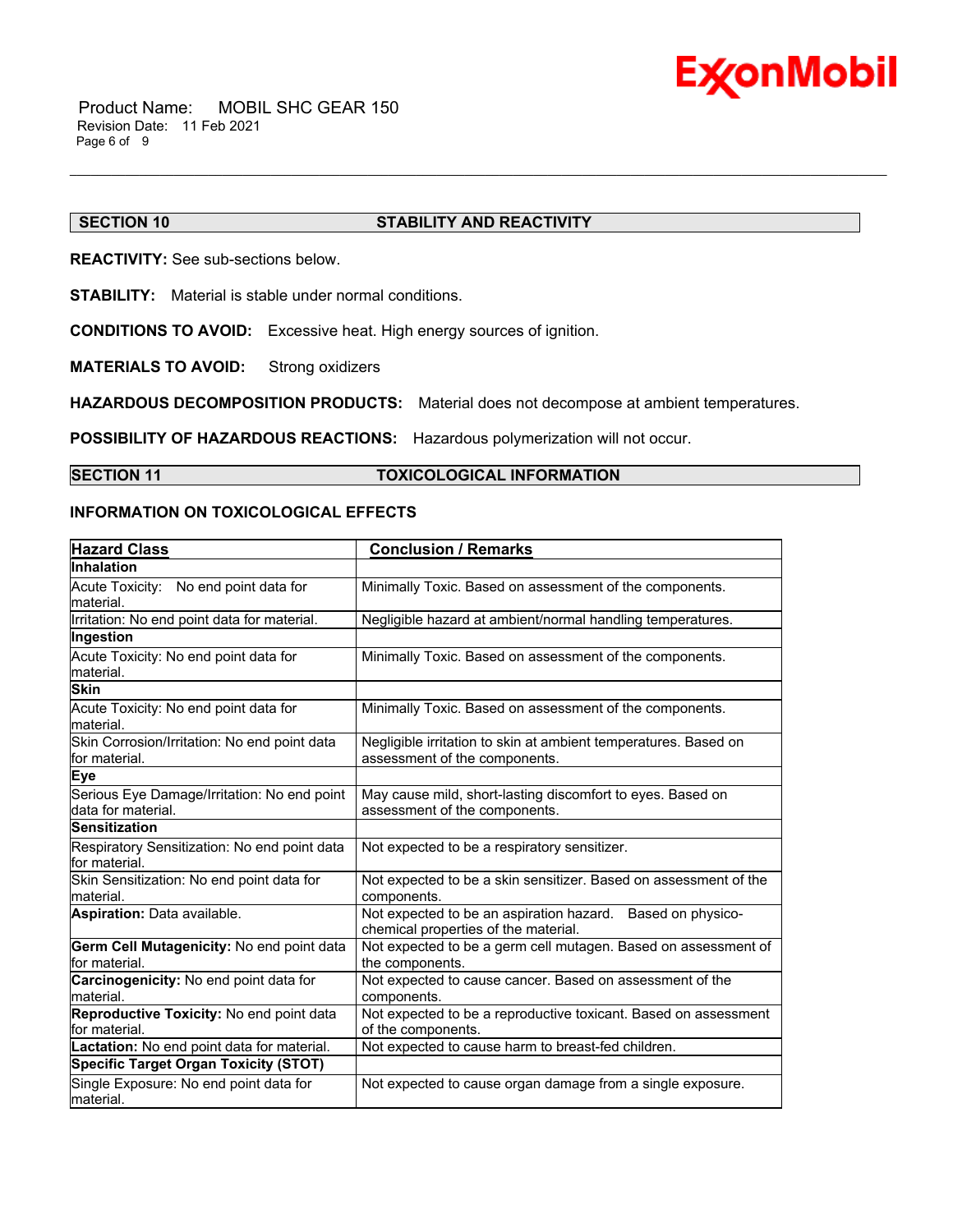

# **SECTION 10 STABILITY AND REACTIVITY**

**REACTIVITY:** See sub-sections below.

**STABILITY:** Material is stable under normal conditions.

**CONDITIONS TO AVOID:** Excessive heat. High energy sources of ignition.

**MATERIALS TO AVOID:** Strong oxidizers

**HAZARDOUS DECOMPOSITION PRODUCTS:** Material does not decompose at ambient temperatures.

**POSSIBILITY OF HAZARDOUS REACTIONS:** Hazardous polymerization will not occur.

# **SECTION 11 TOXICOLOGICAL INFORMATION**

\_\_\_\_\_\_\_\_\_\_\_\_\_\_\_\_\_\_\_\_\_\_\_\_\_\_\_\_\_\_\_\_\_\_\_\_\_\_\_\_\_\_\_\_\_\_\_\_\_\_\_\_\_\_\_\_\_\_\_\_\_\_\_\_\_\_\_\_\_\_\_\_\_\_\_\_\_\_\_\_\_\_\_\_\_\_\_\_\_\_\_\_\_\_\_\_\_\_\_\_\_\_\_\_\_\_\_\_\_\_\_\_\_\_\_\_\_\_

# **INFORMATION ON TOXICOLOGICAL EFFECTS**

| <b>Hazard Class</b>                                               | <b>Conclusion / Remarks</b>                                                                        |
|-------------------------------------------------------------------|----------------------------------------------------------------------------------------------------|
| <b>Inhalation</b>                                                 |                                                                                                    |
| Acute Toxicity: No end point data for<br>lmaterial.               | Minimally Toxic. Based on assessment of the components.                                            |
| Irritation: No end point data for material.                       | Negligible hazard at ambient/normal handling temperatures.                                         |
| Ingestion                                                         |                                                                                                    |
| Acute Toxicity: No end point data for<br>material.                | Minimally Toxic. Based on assessment of the components.                                            |
| <b>Skin</b>                                                       |                                                                                                    |
| Acute Toxicity: No end point data for<br>lmaterial.               | Minimally Toxic. Based on assessment of the components.                                            |
| Skin Corrosion/Irritation: No end point data<br>lfor material.    | Negligible irritation to skin at ambient temperatures. Based on<br>assessment of the components.   |
| Eye                                                               |                                                                                                    |
| Serious Eye Damage/Irritation: No end point<br>data for material. | May cause mild, short-lasting discomfort to eyes. Based on<br>assessment of the components.        |
| <b>Sensitization</b>                                              |                                                                                                    |
| Respiratory Sensitization: No end point data<br>for material.     | Not expected to be a respiratory sensitizer.                                                       |
| Skin Sensitization: No end point data for<br>Imaterial.           | Not expected to be a skin sensitizer. Based on assessment of the<br>components.                    |
| <b>Aspiration: Data available.</b>                                | Not expected to be an aspiration hazard. Based on physico-<br>chemical properties of the material. |
| Germ Cell Mutagenicity: No end point data<br>for material.        | Not expected to be a germ cell mutagen. Based on assessment of<br>the components.                  |
| Carcinogenicity: No end point data for<br>material.               | Not expected to cause cancer. Based on assessment of the<br>components.                            |
| Reproductive Toxicity: No end point data<br>lfor material.        | Not expected to be a reproductive toxicant. Based on assessment<br>of the components.              |
| Lactation: No end point data for material.                        | Not expected to cause harm to breast-fed children.                                                 |
| <b>Specific Target Organ Toxicity (STOT)</b>                      |                                                                                                    |
| Single Exposure: No end point data for<br>material.               | Not expected to cause organ damage from a single exposure.                                         |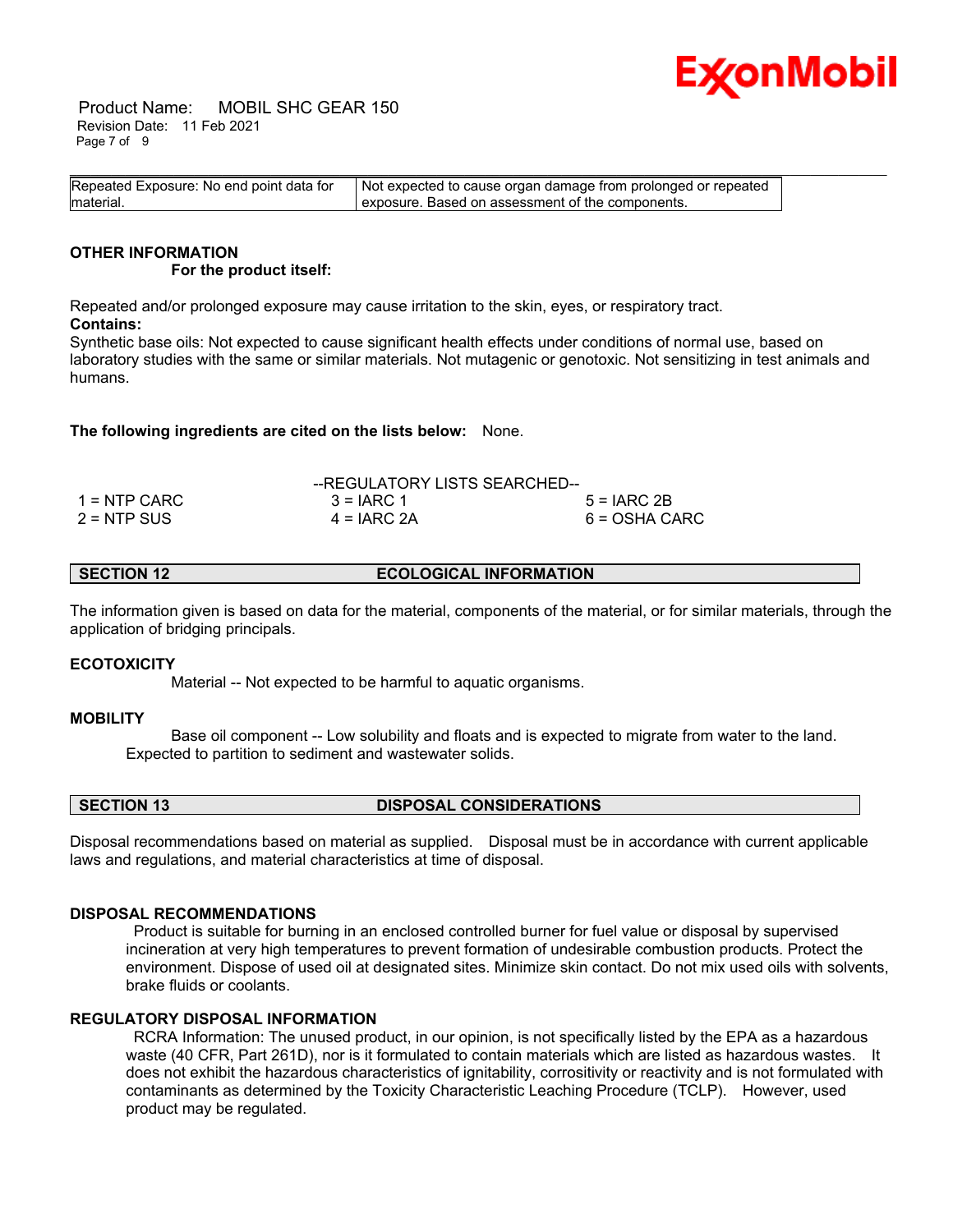

 Product Name: MOBIL SHC GEAR 150 Revision Date: 11 Feb 2021 Page 7 of 9

| Repeated Exposure: No end point data for | Not expected to cause organ damage from prolonged or repeated |  |
|------------------------------------------|---------------------------------------------------------------|--|
| material.                                | exposure. Based on assessment of the components.              |  |

#### **OTHER INFORMATION For the product itself:**

Repeated and/or prolonged exposure may cause irritation to the skin, eyes, or respiratory tract. **Contains:**

Synthetic base oils: Not expected to cause significant health effects under conditions of normal use, based on laboratory studies with the same or similar materials. Not mutagenic or genotoxic. Not sensitizing in test animals and humans.

**The following ingredients are cited on the lists below:** None.

|               | --REGULATORY LISTS SEARCHED-- |               |
|---------------|-------------------------------|---------------|
| 1 = NTP CARC  | $3 = IARC 1$                  | $5 = IARC2B$  |
| $2 = NTP$ SUS | $4 = IARC 2A$                 | 6 = OSHA CARC |

**SECTION 12 ECOLOGICAL INFORMATION** 

The information given is based on data for the material, components of the material, or for similar materials, through the application of bridging principals.

# **ECOTOXICITY**

Material -- Not expected to be harmful to aquatic organisms.

# **MOBILITY**

 Base oil component -- Low solubility and floats and is expected to migrate from water to the land. Expected to partition to sediment and wastewater solids.

**SECTION 13 DISPOSAL CONSIDERATIONS** 

Disposal recommendations based on material as supplied. Disposal must be in accordance with current applicable laws and regulations, and material characteristics at time of disposal.

# **DISPOSAL RECOMMENDATIONS**

 Product is suitable for burning in an enclosed controlled burner for fuel value or disposal by supervised incineration at very high temperatures to prevent formation of undesirable combustion products. Protect the environment. Dispose of used oil at designated sites. Minimize skin contact. Do not mix used oils with solvents, brake fluids or coolants.

# **REGULATORY DISPOSAL INFORMATION**

 RCRA Information: The unused product, in our opinion, is not specifically listed by the EPA as a hazardous waste (40 CFR, Part 261D), nor is it formulated to contain materials which are listed as hazardous wastes. It does not exhibit the hazardous characteristics of ignitability, corrositivity or reactivity and is not formulated with contaminants as determined by the Toxicity Characteristic Leaching Procedure (TCLP). However, used product may be regulated.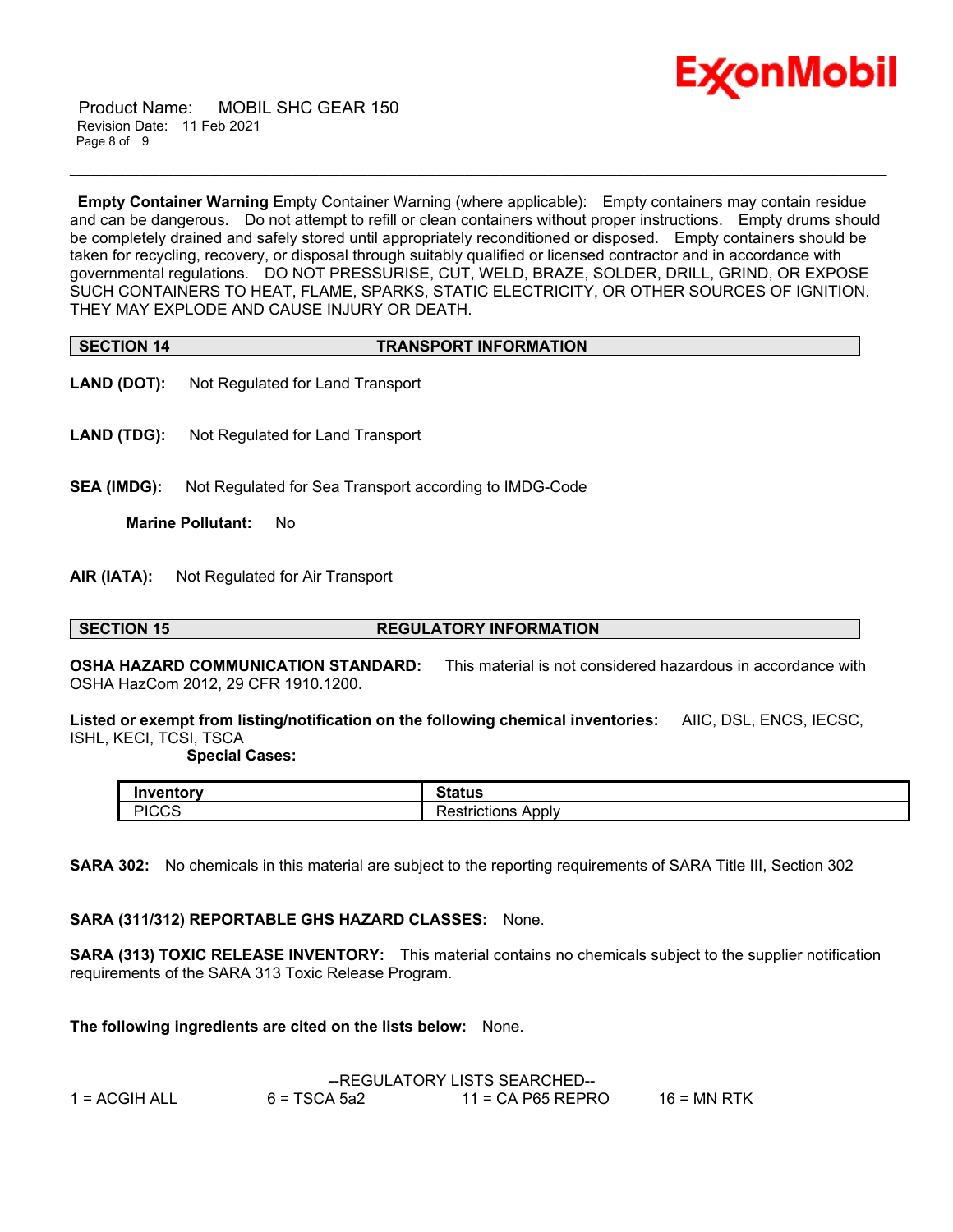

 Product Name: MOBIL SHC GEAR 150 Revision Date: 11 Feb 2021 Page 8 of 9

**Empty Container Warning** Empty Container Warning (where applicable): Empty containers may contain residue and can be dangerous. Do not attempt to refill or clean containers without proper instructions. Empty drums should be completely drained and safely stored until appropriately reconditioned or disposed. Empty containers should be taken for recycling, recovery, or disposal through suitably qualified or licensed contractor and in accordance with governmental regulations. DO NOT PRESSURISE, CUT, WELD, BRAZE, SOLDER, DRILL, GRIND, OR EXPOSE SUCH CONTAINERS TO HEAT, FLAME, SPARKS, STATIC ELECTRICITY, OR OTHER SOURCES OF IGNITION. THEY MAY EXPLODE AND CAUSE INJURY OR DEATH.

\_\_\_\_\_\_\_\_\_\_\_\_\_\_\_\_\_\_\_\_\_\_\_\_\_\_\_\_\_\_\_\_\_\_\_\_\_\_\_\_\_\_\_\_\_\_\_\_\_\_\_\_\_\_\_\_\_\_\_\_\_\_\_\_\_\_\_\_\_\_\_\_\_\_\_\_\_\_\_\_\_\_\_\_\_\_\_\_\_\_\_\_\_\_\_\_\_\_\_\_\_\_\_\_\_\_\_\_\_\_\_\_\_\_\_\_\_\_

| <b>SECTION 14</b> | <b>TRANSPORT INFORMATION</b> |
|-------------------|------------------------------|

- **LAND (DOT):** Not Regulated for Land Transport
- **LAND (TDG):** Not Regulated for Land Transport
- **SEA (IMDG):** Not Regulated for Sea Transport according to IMDG-Code

**Marine Pollutant:** No

**AIR (IATA):** Not Regulated for Air Transport

### **SECTION 15 REGULATORY INFORMATION**

**OSHA HAZARD COMMUNICATION STANDARD:** This material is not considered hazardous in accordance with OSHA HazCom 2012, 29 CFR 1910.1200.

**Listed or exempt from listing/notification on the following chemical inventories:** AIIC, DSL, ENCS, IECSC, ISHL, KECI, TCSI, TSCA

### **Special Cases:**

| Inventorv<br>rv       | Status                                |
|-----------------------|---------------------------------------|
| <b>DICCC</b><br>יו∪∪∴ | -<br>Apply<br>.ctrictions<br>rictions |

**SARA 302:** No chemicals in this material are subject to the reporting requirements of SARA Title III, Section 302

# **SARA (311/312) REPORTABLE GHS HAZARD CLASSES:** None.

**SARA (313) TOXIC RELEASE INVENTORY:** This material contains no chemicals subject to the supplier notification requirements of the SARA 313 Toxic Release Program.

**The following ingredients are cited on the lists below:** None.

|               |                | --REGULATORY LISTS SEARCHED-- |               |  |  |
|---------------|----------------|-------------------------------|---------------|--|--|
| 1 = ACGIH ALL | $6 = TSCA 5a2$ | $11$ = CA P65 REPRO           | $16$ = MN RTK |  |  |